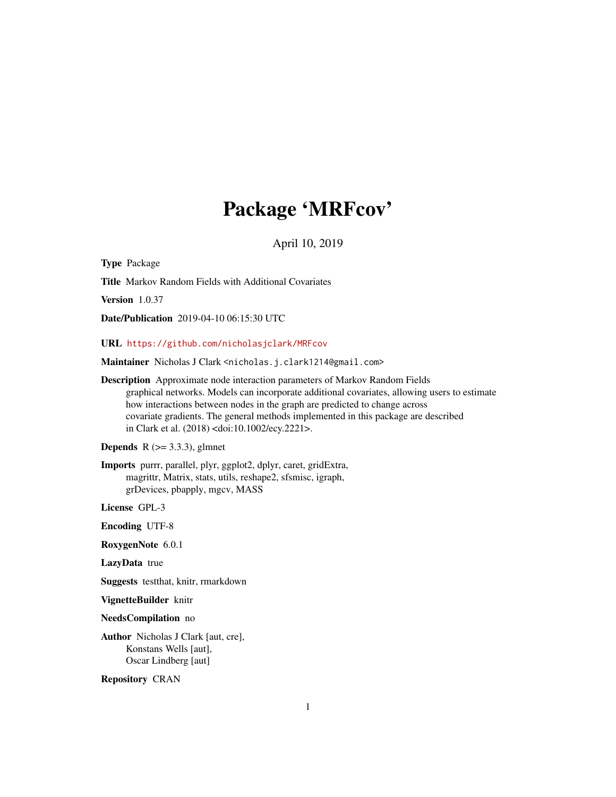# Package 'MRFcov'

April 10, 2019

<span id="page-0-0"></span>Type Package Title Markov Random Fields with Additional Covariates Version 1.0.37 Date/Publication 2019-04-10 06:15:30 UTC URL <https://github.com/nicholasjclark/MRFcov> Maintainer Nicholas J Clark <nicholas.j.clark1214@gmail.com> Description Approximate node interaction parameters of Markov Random Fields graphical networks. Models can incorporate additional covariates, allowing users to estimate how interactions between nodes in the graph are predicted to change across covariate gradients. The general methods implemented in this package are described in Clark et al. (2018) <doi:10.1002/ecy.2221>.

**Depends** R  $(>= 3.3.3)$ , glmnet

Imports purrr, parallel, plyr, ggplot2, dplyr, caret, gridExtra, magrittr, Matrix, stats, utils, reshape2, sfsmisc, igraph, grDevices, pbapply, mgcv, MASS

License GPL-3

Encoding UTF-8

RoxygenNote 6.0.1

LazyData true

Suggests testthat, knitr, rmarkdown

VignetteBuilder knitr

NeedsCompilation no

Author Nicholas J Clark [aut, cre], Konstans Wells [aut], Oscar Lindberg [aut]

Repository CRAN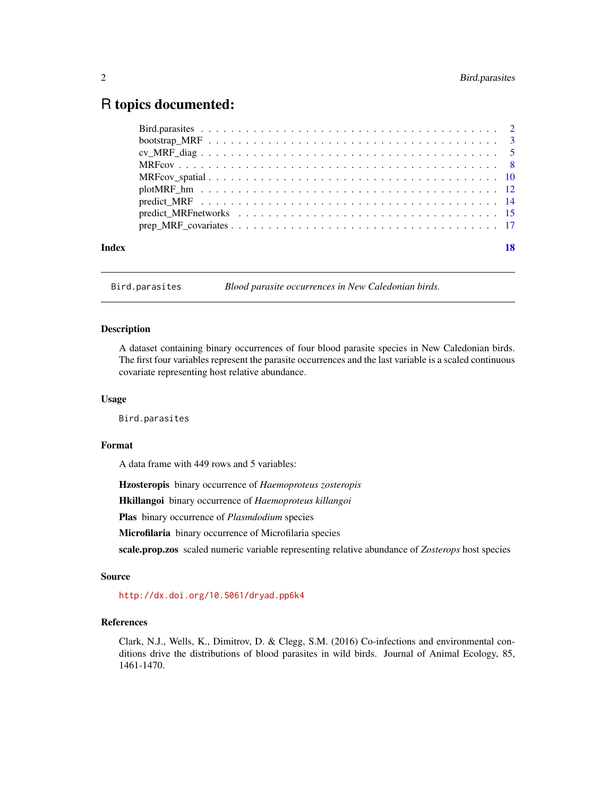# <span id="page-1-0"></span>R topics documented:

| Index | 18 |
|-------|----|
|       |    |

Bird.parasites *Blood parasite occurrences in New Caledonian birds.*

#### Description

A dataset containing binary occurrences of four blood parasite species in New Caledonian birds. The first four variables represent the parasite occurrences and the last variable is a scaled continuous covariate representing host relative abundance.

#### Usage

Bird.parasites

#### Format

A data frame with 449 rows and 5 variables:

Hzosteropis binary occurrence of *Haemoproteus zosteropis*

Hkillangoi binary occurrence of *Haemoproteus killangoi*

Plas binary occurrence of *Plasmdodium* species

Microfilaria binary occurrence of Microfilaria species

scale.prop.zos scaled numeric variable representing relative abundance of *Zosterops* host species

#### Source

<http://dx.doi.org/10.5061/dryad.pp6k4>

### References

Clark, N.J., Wells, K., Dimitrov, D. & Clegg, S.M. (2016) Co-infections and environmental conditions drive the distributions of blood parasites in wild birds. Journal of Animal Ecology, 85, 1461-1470.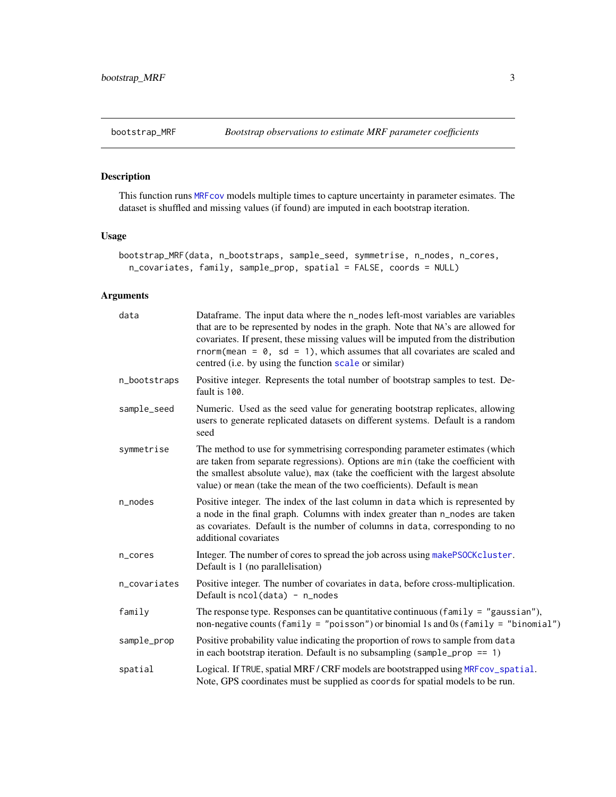<span id="page-2-1"></span><span id="page-2-0"></span>

### Description

This function runs [MRFcov](#page-7-1) models multiple times to capture uncertainty in parameter esimates. The dataset is shuffled and missing values (if found) are imputed in each bootstrap iteration.

## Usage

```
bootstrap_MRF(data, n_bootstraps, sample_seed, symmetrise, n_nodes, n_cores,
 n_covariates, family, sample_prop, spatial = FALSE, coords = NULL)
```

| data         | Dataframe. The input data where the n_nodes left-most variables are variables<br>that are to be represented by nodes in the graph. Note that NA's are allowed for<br>covariates. If present, these missing values will be imputed from the distribution<br>rnorm(mean = $\theta$ , sd = 1), which assumes that all covariates are scaled and<br>centred (i.e. by using the function scale or similar) |
|--------------|-------------------------------------------------------------------------------------------------------------------------------------------------------------------------------------------------------------------------------------------------------------------------------------------------------------------------------------------------------------------------------------------------------|
| n_bootstraps | Positive integer. Represents the total number of bootstrap samples to test. De-<br>fault is 100.                                                                                                                                                                                                                                                                                                      |
| sample_seed  | Numeric. Used as the seed value for generating bootstrap replicates, allowing<br>users to generate replicated datasets on different systems. Default is a random<br>seed                                                                                                                                                                                                                              |
| symmetrise   | The method to use for symmetrising corresponding parameter estimates (which<br>are taken from separate regressions). Options are min (take the coefficient with<br>the smallest absolute value), max (take the coefficient with the largest absolute<br>value) or mean (take the mean of the two coefficients). Default is mean                                                                       |
| n_nodes      | Positive integer. The index of the last column in data which is represented by<br>a node in the final graph. Columns with index greater than n_nodes are taken<br>as covariates. Default is the number of columns in data, corresponding to no<br>additional covariates                                                                                                                               |
| n_cores      | Integer. The number of cores to spread the job across using makePSOCKcluster.<br>Default is 1 (no parallelisation)                                                                                                                                                                                                                                                                                    |
| n_covariates | Positive integer. The number of covariates in data, before cross-multiplication.<br>Default is $ncol(data) - n\_nodes$                                                                                                                                                                                                                                                                                |
| family       | The response type. Responses can be quantitative continuous (family = $"gaussian"$ ),<br>non-negative counts (family = "poisson") or binomial 1s and 0s (family = "binomial")                                                                                                                                                                                                                         |
| sample_prop  | Positive probability value indicating the proportion of rows to sample from data<br>in each bootstrap iteration. Default is no subsampling (sample_prop == $1$ )                                                                                                                                                                                                                                      |
| spatial      | Logical. If TRUE, spatial MRF/CRF models are bootstrapped using MRFcov_spatial.<br>Note, GPS coordinates must be supplied as coords for spatial models to be run.                                                                                                                                                                                                                                     |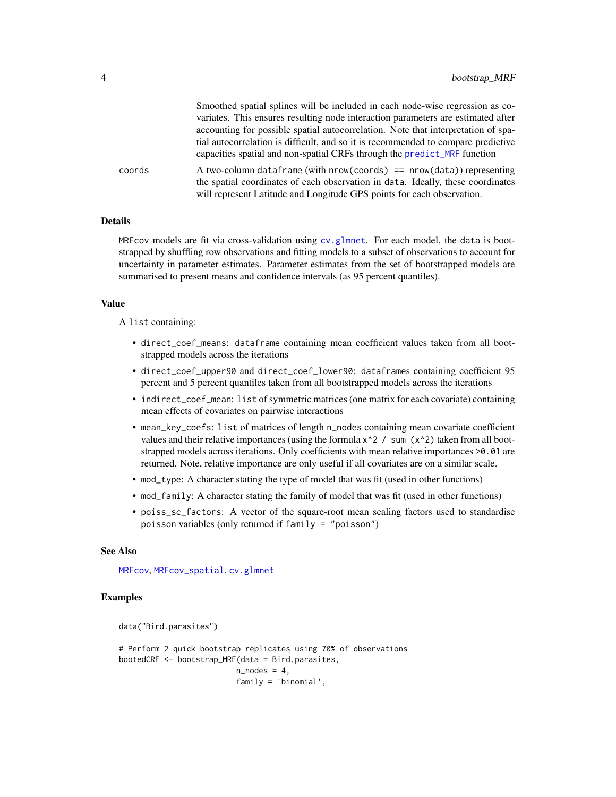<span id="page-3-0"></span>

|        | Smoothed spatial splines will be included in each node-wise regression as co-                                                                                                                                                        |
|--------|--------------------------------------------------------------------------------------------------------------------------------------------------------------------------------------------------------------------------------------|
|        | variates. This ensures resulting node interaction parameters are estimated after                                                                                                                                                     |
|        | accounting for possible spatial autocorrelation. Note that interpretation of spa-                                                                                                                                                    |
|        | tial autocorrelation is difficult, and so it is recommended to compare predictive<br>capacities spatial and non-spatial CRFs through the predict_MRF function                                                                        |
| coords | A two-column dataframe (with $nrow(cords) == nrow(data)$ ) representing<br>the spatial coordinates of each observation in data. Ideally, these coordinates<br>will represent Latitude and Longitude GPS points for each observation. |

#### Details

MRFcov models are fit via cross-validation using [cv.glmnet](#page-0-0). For each model, the data is bootstrapped by shuffling row observations and fitting models to a subset of observations to account for uncertainty in parameter estimates. Parameter estimates from the set of bootstrapped models are summarised to present means and confidence intervals (as 95 percent quantiles).

#### Value

A list containing:

- direct\_coef\_means: dataframe containing mean coefficient values taken from all bootstrapped models across the iterations
- direct\_coef\_upper90 and direct\_coef\_lower90: dataframes containing coefficient 95 percent and 5 percent quantiles taken from all bootstrapped models across the iterations
- indirect\_coef\_mean: list of symmetric matrices (one matrix for each covariate) containing mean effects of covariates on pairwise interactions
- mean\_key\_coefs: list of matrices of length n\_nodes containing mean covariate coefficient values and their relative importances (using the formula  $x^2$  / sum ( $x^2$ ) taken from all bootstrapped models across iterations. Only coefficients with mean relative importances >0.01 are returned. Note, relative importance are only useful if all covariates are on a similar scale.
- mod\_type: A character stating the type of model that was fit (used in other functions)
- mod\_family: A character stating the family of model that was fit (used in other functions)
- poiss\_sc\_factors: A vector of the square-root mean scaling factors used to standardise poisson variables (only returned if family = "poisson")

#### See Also

[MRFcov](#page-7-1), [MRFcov\\_spatial](#page-9-1), [cv.glmnet](#page-0-0)

```
data("Bird.parasites")
# Perform 2 quick bootstrap replicates using 70% of observations
bootedCRF <- bootstrap_MRF(data = Bird.parasites,
                          n\_nodes = 4,
                          family = 'binomial',
```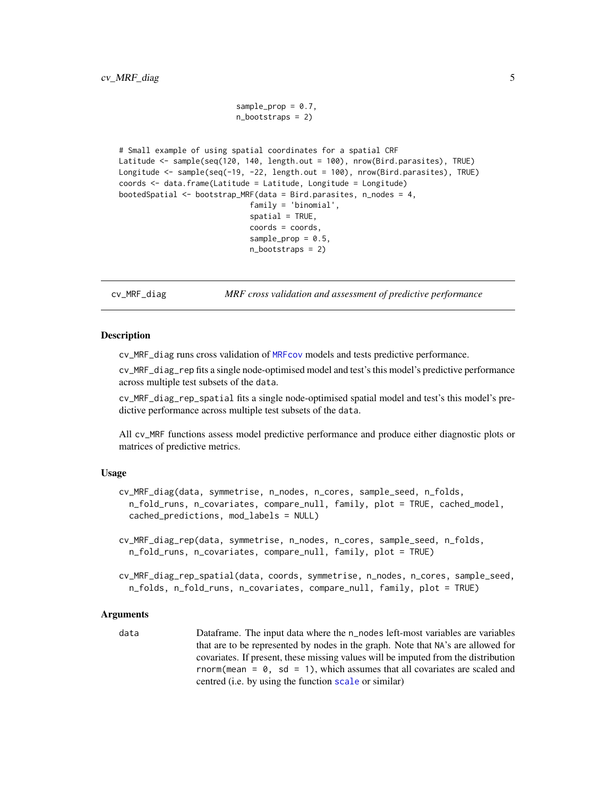```
sample\_prop = 0.7,
                          n_bootstraps = 2)
# Small example of using spatial coordinates for a spatial CRF
Latitude <- sample(seq(120, 140, length.out = 100), nrow(Bird.parasites), TRUE)
Longitude <- sample(seq(-19, -22, length.out = 100), nrow(Bird.parasites), TRUE)
coords <- data.frame(Latitude = Latitude, Longitude = Longitude)
bootedSpatial <- bootstrap_MRF(data = Bird.parasites, n_nodes = 4,
                             family = 'binomial',
                             spatial = TRUE,coords = coords,
                             sample\_prop = 0.5,
                             n_bootstraps = 2)
```
<span id="page-4-2"></span>cv\_MRF\_diag *MRF cross validation and assessment of predictive performance*

#### <span id="page-4-1"></span>**Description**

cv\_MRF\_diag runs cross validation of [MRFcov](#page-7-1) models and tests predictive performance.

cv\_MRF\_diag\_rep fits a single node-optimised model and test's this model's predictive performance across multiple test subsets of the data.

cv\_MRF\_diag\_rep\_spatial fits a single node-optimised spatial model and test's this model's predictive performance across multiple test subsets of the data.

All cv\_MRF functions assess model predictive performance and produce either diagnostic plots or matrices of predictive metrics.

#### Usage

```
cv_MRF_diag(data, symmetrise, n_nodes, n_cores, sample_seed, n_folds,
  n_fold_runs, n_covariates, compare_null, family, plot = TRUE, cached_model,
  cached_predictions, mod_labels = NULL)
cv_MRF_diag_rep(data, symmetrise, n_nodes, n_cores, sample_seed, n_folds,
  n_fold_runs, n_covariates, compare_null, family, plot = TRUE)
```
cv\_MRF\_diag\_rep\_spatial(data, coords, symmetrise, n\_nodes, n\_cores, sample\_seed, n\_folds, n\_fold\_runs, n\_covariates, compare\_null, family, plot = TRUE)

#### Arguments

data Dataframe. The input data where the n\_nodes left-most variables are variables that are to be represented by nodes in the graph. Note that NA's are allowed for covariates. If present, these missing values will be imputed from the distribution rnorm(mean =  $\theta$ , sd = 1), which assumes that all covariates are scaled and centred (i.e. by using the function [scale](#page-0-0) or similar)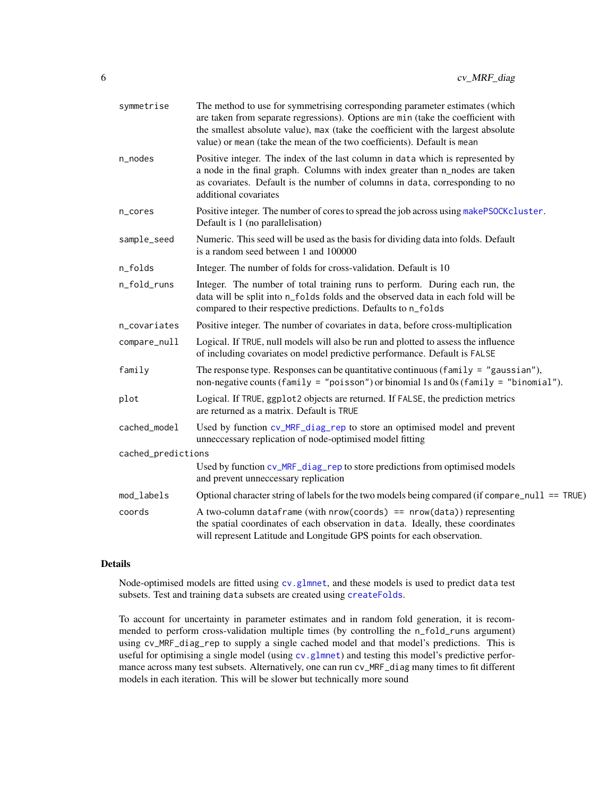<span id="page-5-0"></span>

| symmetrise         | The method to use for symmetrising corresponding parameter estimates (which<br>are taken from separate regressions). Options are min (take the coefficient with<br>the smallest absolute value), max (take the coefficient with the largest absolute<br>value) or mean (take the mean of the two coefficients). Default is mean |
|--------------------|---------------------------------------------------------------------------------------------------------------------------------------------------------------------------------------------------------------------------------------------------------------------------------------------------------------------------------|
| n_nodes            | Positive integer. The index of the last column in data which is represented by<br>a node in the final graph. Columns with index greater than n_nodes are taken<br>as covariates. Default is the number of columns in data, corresponding to no<br>additional covariates                                                         |
| n_cores            | Positive integer. The number of cores to spread the job across using makePSOCKcluster.<br>Default is 1 (no parallelisation)                                                                                                                                                                                                     |
| sample_seed        | Numeric. This seed will be used as the basis for dividing data into folds. Default<br>is a random seed between 1 and 100000                                                                                                                                                                                                     |
| n_folds            | Integer. The number of folds for cross-validation. Default is 10                                                                                                                                                                                                                                                                |
| n_fold_runs        | Integer. The number of total training runs to perform. During each run, the<br>data will be split into n_folds folds and the observed data in each fold will be<br>compared to their respective predictions. Defaults to n_folds                                                                                                |
| n_covariates       | Positive integer. The number of covariates in data, before cross-multiplication                                                                                                                                                                                                                                                 |
| compare_null       | Logical. If TRUE, null models will also be run and plotted to assess the influence<br>of including covariates on model predictive performance. Default is FALSE                                                                                                                                                                 |
| family             | The response type. Responses can be quantitative continuous (family = "gaussian"),<br>non-negative counts (family = "poisson") or binomial 1s and 0s (family = "binomial").                                                                                                                                                     |
| plot               | Logical. If TRUE, ggplot2 objects are returned. If FALSE, the prediction metrics<br>are returned as a matrix. Default is TRUE                                                                                                                                                                                                   |
| cached_model       | Used by function cv_MRF_diag_rep to store an optimised model and prevent<br>unneccessary replication of node-optimised model fitting                                                                                                                                                                                            |
| cached_predictions |                                                                                                                                                                                                                                                                                                                                 |
|                    | Used by function cv_MRF_diag_rep to store predictions from optimised models<br>and prevent unneccessary replication                                                                                                                                                                                                             |
| mod_labels         | Optional character string of labels for the two models being compared (if compare null $==$ TRUE)                                                                                                                                                                                                                               |
| coords             | A two-column dataframe (with $nrow(cords) == nrow(data)$ ) representing<br>the spatial coordinates of each observation in data. Ideally, these coordinates<br>will represent Latitude and Longitude GPS points for each observation.                                                                                            |

#### Details

Node-optimised models are fitted using [cv.glmnet](#page-0-0), and these models is used to predict data test subsets. Test and training data subsets are created using [createFolds](#page-0-0).

To account for uncertainty in parameter estimates and in random fold generation, it is recommended to perform cross-validation multiple times (by controlling the n\_fold\_runs argument) using cv\_MRF\_diag\_rep to supply a single cached model and that model's predictions. This is useful for optimising a single model (using [cv.glmnet](#page-0-0)) and testing this model's predictive performance across many test subsets. Alternatively, one can run cv\_MRF\_diag many times to fit different models in each iteration. This will be slower but technically more sound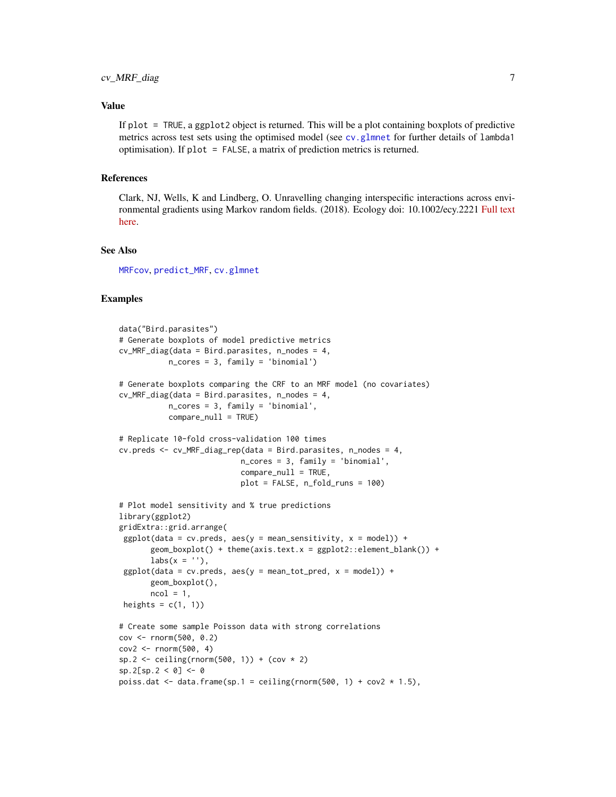#### <span id="page-6-0"></span>Value

If plot = TRUE, a ggplot2 object is returned. This will be a plot containing boxplots of predictive metrics across test sets using the optimised model (see [cv.glmnet](#page-0-0) for further details of lambda1 optimisation). If plot = FALSE, a matrix of prediction metrics is returned.

#### References

Clark, NJ, Wells, K and Lindberg, O. Unravelling changing interspecific interactions across environmental gradients using Markov random fields. (2018). Ecology doi: 10.1002/ecy.2221 [Full text](http://nicholasjclark.weebly.com/uploads/4/4/9/4/44946407/clark_et_al-2018-ecology.pdf) [here.](http://nicholasjclark.weebly.com/uploads/4/4/9/4/44946407/clark_et_al-2018-ecology.pdf)

#### See Also

[MRFcov](#page-7-1), [predict\\_MRF](#page-13-1), [cv.glmnet](#page-0-0)

```
data("Bird.parasites")
# Generate boxplots of model predictive metrics
cv_MRF_diag(data = Bird.parasites, n_nodes = 4,
           n_cores = 3, family = 'binomial')
# Generate boxplots comparing the CRF to an MRF model (no covariates)
cv_MRF_diag(data = Bird.parasites, n_nodes = 4,
           n_cores = 3, family = 'binomial',
           compare_null = TRUE)
# Replicate 10-fold cross-validation 100 times
cv.preds <- cv_MRF_diag_rep(data = Bird.parasites, n_nodes = 4,
                           n_cores = 3, family = 'binomial',
                           compare\_null = TRUE,plot = FALSE, n_fold_runs = 100)
# Plot model sensitivity and % true predictions
library(ggplot2)
gridExtra::grid.arrange(
 ggplot(data = cv.preds, aes(y = mean_sensitivity, x = model)) +geom_bexplot() + theme(axis.text.x = ggplot2::element_blank()) +\text{labs}(x = \text{''}),ggplot(data = cv.preds, aes(y = mean_tot_pred, x = model)) +geom_boxplot(),
       ncol = 1,
 heights = c(1, 1))
# Create some sample Poisson data with strong correlations
cov <- rnorm(500, 0.2)
cov2 \le rnorm(500, 4)sp.2 <- ceiling(rnorm(500, 1)) + (cov * 2)
sp.2[sp.2 < 0] <- 0
poiss.dat <- data.frame(sp.1 = ceiling(rnorm(500, 1) + cov2 * 1.5),
```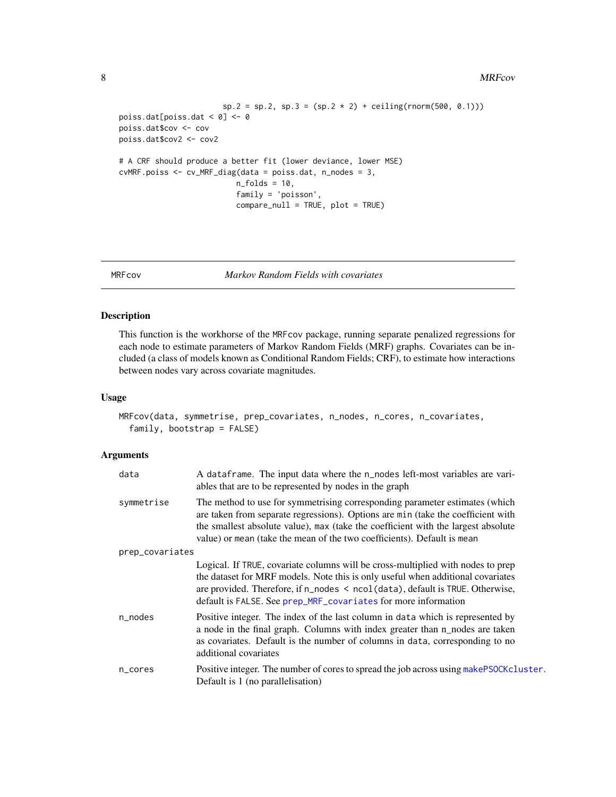#### 8 MRFcov

```
sp.2 = sp.2, sp.3 = (sp.2 * 2) + ceiling(rnorm(500, 0.1)))poiss.dat[poiss.dat < 0] <- 0
poiss.dat$cov <- cov
poiss.dat$cov2 <- cov2
# A CRF should produce a better fit (lower deviance, lower MSE)
cvMRF.poiss <- cv_MRF_diag(data = poiss.dat, n_nodes = 3,
                         n_folds = 10,
                          family = 'poisson',
                          compare_null = TRUE, plot = TRUE)
```
<span id="page-7-1"></span>

MRFcov *Markov Random Fields with covariates*

#### Description

This function is the workhorse of the MRFcov package, running separate penalized regressions for each node to estimate parameters of Markov Random Fields (MRF) graphs. Covariates can be included (a class of models known as Conditional Random Fields; CRF), to estimate how interactions between nodes vary across covariate magnitudes.

#### Usage

```
MRFcov(data, symmetrise, prep_covariates, n_nodes, n_cores, n_covariates,
  family, bootstrap = FALSE)
```

| data            | A dataframe. The input data where the n_nodes left-most variables are vari-<br>ables that are to be represented by nodes in the graph                                                                                                                                                                                           |
|-----------------|---------------------------------------------------------------------------------------------------------------------------------------------------------------------------------------------------------------------------------------------------------------------------------------------------------------------------------|
| symmetrise      | The method to use for symmetrising corresponding parameter estimates (which<br>are taken from separate regressions). Options are min (take the coefficient with<br>the smallest absolute value), max (take the coefficient with the largest absolute<br>value) or mean (take the mean of the two coefficients). Default is mean |
| prep_covariates |                                                                                                                                                                                                                                                                                                                                 |
|                 | Logical. If TRUE, covariate columns will be cross-multiplied with nodes to prep<br>the dataset for MRF models. Note this is only useful when additional covariates<br>are provided. Therefore, if $n\_nodes < neol(data)$ , default is TRUE. Otherwise,<br>default is FALSE. See prep_MRF_covariates for more information       |
| n_nodes         | Positive integer. The index of the last column in data which is represented by<br>a node in the final graph. Columns with index greater than n_nodes are taken<br>as covariates. Default is the number of columns in data, corresponding to no<br>additional covariates                                                         |
| n_cores         | Positive integer. The number of cores to spread the job across using makePSOCKcluster.<br>Default is 1 (no parallelisation)                                                                                                                                                                                                     |

<span id="page-7-0"></span>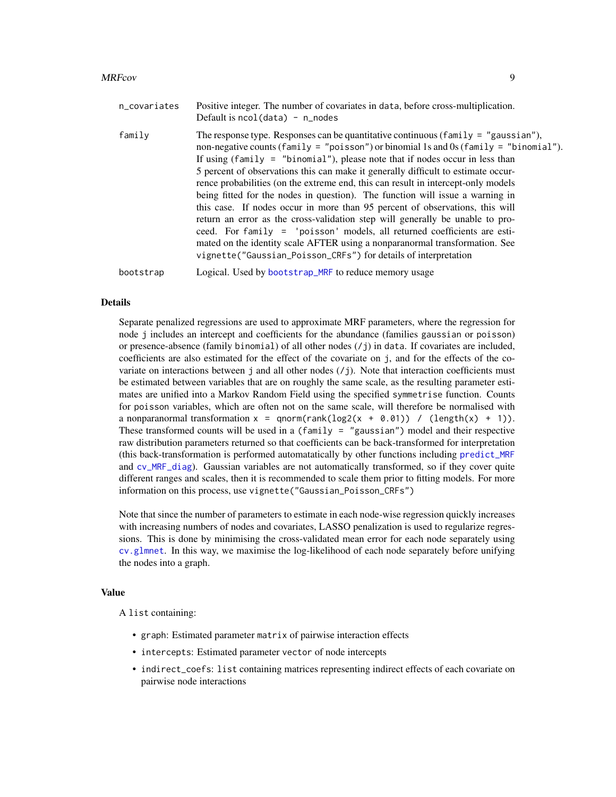#### <span id="page-8-0"></span>MRFcov 9

| n_covariates | Positive integer. The number of covariates in data, before cross-multiplication.<br>Default is $ncol(data) - n\_nodes$                                                                                                                                                                                                                                                                                                                                                                                                                                                                                                                                                                                                                                                                                                                                                                                                |
|--------------|-----------------------------------------------------------------------------------------------------------------------------------------------------------------------------------------------------------------------------------------------------------------------------------------------------------------------------------------------------------------------------------------------------------------------------------------------------------------------------------------------------------------------------------------------------------------------------------------------------------------------------------------------------------------------------------------------------------------------------------------------------------------------------------------------------------------------------------------------------------------------------------------------------------------------|
| family       | The response type. Responses can be quantitative continuous (family = "gaussian"),<br>non-negative counts (family = "poisson") or binomial 1s and 0s (family = "binomial").<br>If using (family = "binomial"), please note that if nodes occur in less than<br>5 percent of observations this can make it generally difficult to estimate occur-<br>rence probabilities (on the extreme end, this can result in intercept-only models<br>being fitted for the nodes in question). The function will issue a warning in<br>this case. If nodes occur in more than 95 percent of observations, this will<br>return an error as the cross-validation step will generally be unable to pro-<br>ceed. For family = 'poisson' models, all returned coefficients are esti-<br>mated on the identity scale AFTER using a nonparanormal transformation. See<br>vignette("Gaussian_Poisson_CRFs") for details of interpretation |
| bootstrap    | Logical. Used by bootstrap_MRF to reduce memory usage                                                                                                                                                                                                                                                                                                                                                                                                                                                                                                                                                                                                                                                                                                                                                                                                                                                                 |

#### Details

Separate penalized regressions are used to approximate MRF parameters, where the regression for node j includes an intercept and coefficients for the abundance (families gaussian or poisson) or presence-absence (family binomial) of all other nodes (/j) in data. If covariates are included, coefficients are also estimated for the effect of the covariate on j, and for the effects of the covariate on interactions between j and all other nodes  $(7)$ . Note that interaction coefficients must be estimated between variables that are on roughly the same scale, as the resulting parameter estimates are unified into a Markov Random Field using the specified symmetrise function. Counts for poisson variables, which are often not on the same scale, will therefore be normalised with a nonparanormal transformation  $x = qnorm(rank(log2(x + 0.01)) / (length(x) + 1)).$ These transformed counts will be used in a (family = "gaussian") model and their respective raw distribution parameters returned so that coefficients can be back-transformed for interpretation (this back-transformation is performed automatatically by other functions including [predict\\_MRF](#page-13-1) and [cv\\_MRF\\_diag](#page-4-2)). Gaussian variables are not automatically transformed, so if they cover quite different ranges and scales, then it is recommended to scale them prior to fitting models. For more information on this process, use vignette("Gaussian\_Poisson\_CRFs")

Note that since the number of parameters to estimate in each node-wise regression quickly increases with increasing numbers of nodes and covariates, LASSO penalization is used to regularize regressions. This is done by minimising the cross-validated mean error for each node separately using [cv.glmnet](#page-0-0). In this way, we maximise the log-likelihood of each node separately before unifying the nodes into a graph.

#### Value

A list containing:

- graph: Estimated parameter matrix of pairwise interaction effects
- intercepts: Estimated parameter vector of node intercepts
- indirect\_coefs: list containing matrices representing indirect effects of each covariate on pairwise node interactions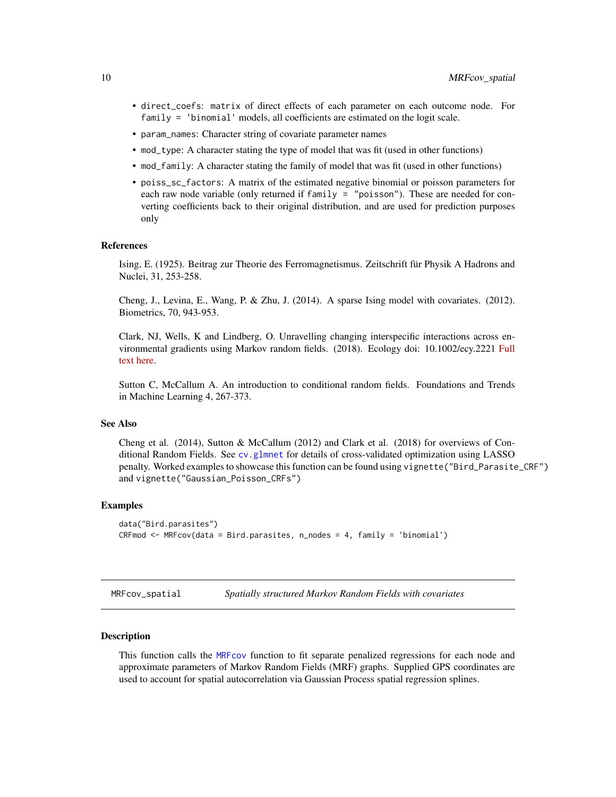- <span id="page-9-0"></span>• direct\_coefs: matrix of direct effects of each parameter on each outcome node. For family = 'binomial' models, all coefficients are estimated on the logit scale.
- param\_names: Character string of covariate parameter names
- mod\_type: A character stating the type of model that was fit (used in other functions)
- mod\_family: A character stating the family of model that was fit (used in other functions)
- poiss\_sc\_factors: A matrix of the estimated negative binomial or poisson parameters for each raw node variable (only returned if family = "poisson"). These are needed for converting coefficients back to their original distribution, and are used for prediction purposes only

#### References

Ising, E. (1925). Beitrag zur Theorie des Ferromagnetismus. Zeitschrift für Physik A Hadrons and Nuclei, 31, 253-258.

Cheng, J., Levina, E., Wang, P. & Zhu, J. (2014). A sparse Ising model with covariates. (2012). Biometrics, 70, 943-953.

Clark, NJ, Wells, K and Lindberg, O. Unravelling changing interspecific interactions across environmental gradients using Markov random fields. (2018). Ecology doi: 10.1002/ecy.2221 [Full](http://nicholasjclark.weebly.com/uploads/4/4/9/4/44946407/clark_et_al-2018-ecology.pdf) [text here.](http://nicholasjclark.weebly.com/uploads/4/4/9/4/44946407/clark_et_al-2018-ecology.pdf)

Sutton C, McCallum A. An introduction to conditional random fields. Foundations and Trends in Machine Learning 4, 267-373.

#### See Also

Cheng et al. (2014), Sutton & McCallum (2012) and Clark et al. (2018) for overviews of Conditional Random Fields. See [cv.glmnet](#page-0-0) for details of cross-validated optimization using LASSO penalty. Worked examples to showcase this function can be found using vignette("Bird\_Parasite\_CRF") and vignette("Gaussian\_Poisson\_CRFs")

#### Examples

```
data("Bird.parasites")
CRFmod <- MRFcov(data = Bird.parasites, n_nodes = 4, family = 'binomial')
```
<span id="page-9-1"></span>MRFcov\_spatial *Spatially structured Markov Random Fields with covariates*

#### Description

This function calls the [MRFcov](#page-7-1) function to fit separate penalized regressions for each node and approximate parameters of Markov Random Fields (MRF) graphs. Supplied GPS coordinates are used to account for spatial autocorrelation via Gaussian Process spatial regression splines.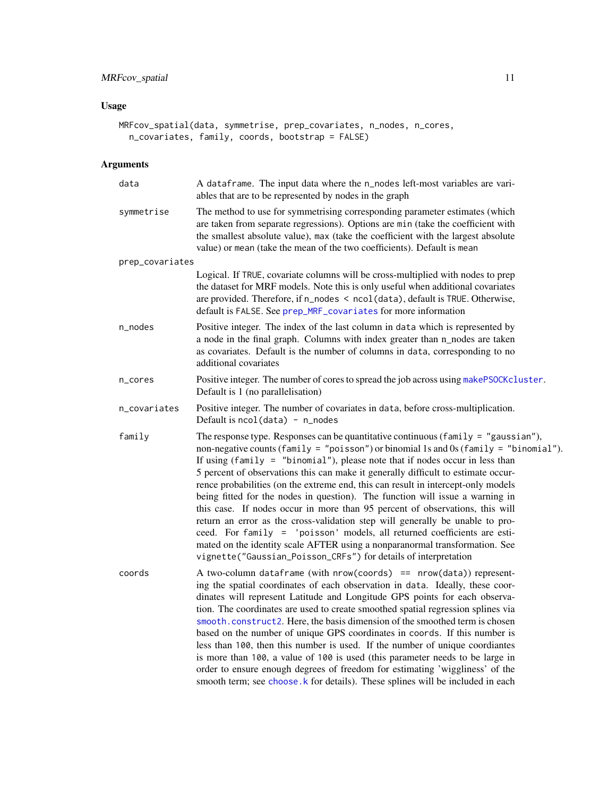### <span id="page-10-0"></span>Usage

```
MRFcov_spatial(data, symmetrise, prep_covariates, n_nodes, n_cores,
 n_covariates, family, coords, bootstrap = FALSE)
```

| data            | A dataframe. The input data where the n_nodes left-most variables are vari-<br>ables that are to be represented by nodes in the graph                                                                                                                                                                                                                                                                                                                                                                                                                                                                                                                                                                                                                                                                                                                                                                                     |
|-----------------|---------------------------------------------------------------------------------------------------------------------------------------------------------------------------------------------------------------------------------------------------------------------------------------------------------------------------------------------------------------------------------------------------------------------------------------------------------------------------------------------------------------------------------------------------------------------------------------------------------------------------------------------------------------------------------------------------------------------------------------------------------------------------------------------------------------------------------------------------------------------------------------------------------------------------|
| symmetrise      | The method to use for symmetrising corresponding parameter estimates (which<br>are taken from separate regressions). Options are min (take the coefficient with<br>the smallest absolute value), max (take the coefficient with the largest absolute<br>value) or mean (take the mean of the two coefficients). Default is mean                                                                                                                                                                                                                                                                                                                                                                                                                                                                                                                                                                                           |
| prep_covariates |                                                                                                                                                                                                                                                                                                                                                                                                                                                                                                                                                                                                                                                                                                                                                                                                                                                                                                                           |
|                 | Logical. If TRUE, covariate columns will be cross-multiplied with nodes to prep<br>the dataset for MRF models. Note this is only useful when additional covariates<br>are provided. Therefore, if n_nodes < ncol(data), default is TRUE. Otherwise,<br>default is FALSE. See prep_MRF_covariates for more information                                                                                                                                                                                                                                                                                                                                                                                                                                                                                                                                                                                                     |
| n_nodes         | Positive integer. The index of the last column in data which is represented by<br>a node in the final graph. Columns with index greater than n_nodes are taken<br>as covariates. Default is the number of columns in data, corresponding to no<br>additional covariates                                                                                                                                                                                                                                                                                                                                                                                                                                                                                                                                                                                                                                                   |
| n_cores         | Positive integer. The number of cores to spread the job across using makePSOCKcluster.<br>Default is 1 (no parallelisation)                                                                                                                                                                                                                                                                                                                                                                                                                                                                                                                                                                                                                                                                                                                                                                                               |
| n_covariates    | Positive integer. The number of covariates in data, before cross-multiplication.<br>Default is $ncol(data) - n nodes$                                                                                                                                                                                                                                                                                                                                                                                                                                                                                                                                                                                                                                                                                                                                                                                                     |
| family          | The response type. Responses can be quantitative continuous ( $family = "gaussian",$<br>non-negative counts (family = "poisson") or binomial 1s and 0s (family = "binomial").<br>If using $(family = "binomial"),$ please note that if nodes occur in less than<br>5 percent of observations this can make it generally difficult to estimate occur-<br>rence probabilities (on the extreme end, this can result in intercept-only models<br>being fitted for the nodes in question). The function will issue a warning in<br>this case. If nodes occur in more than 95 percent of observations, this will<br>return an error as the cross-validation step will generally be unable to pro-<br>ceed. For family = 'poisson' models, all returned coefficients are esti-<br>mated on the identity scale AFTER using a nonparanormal transformation. See<br>vignette("Gaussian_Poisson_CRFs") for details of interpretation |
| coords          | A two-column dataframe (with $nrow(cords) == nrow(data)$ ) represent-<br>ing the spatial coordinates of each observation in data. Ideally, these coor-<br>dinates will represent Latitude and Longitude GPS points for each observa-<br>tion. The coordinates are used to create smoothed spatial regression splines via<br>smooth.construct2. Here, the basis dimension of the smoothed term is chosen<br>based on the number of unique GPS coordinates in coords. If this number is<br>less than 100, then this number is used. If the number of unique coordiantes<br>is more than 100, a value of 100 is used (this parameter needs to be large in<br>order to ensure enough degrees of freedom for estimating 'wiggliness' of the<br>smooth term; see choose. k for details). These splines will be included in each                                                                                                 |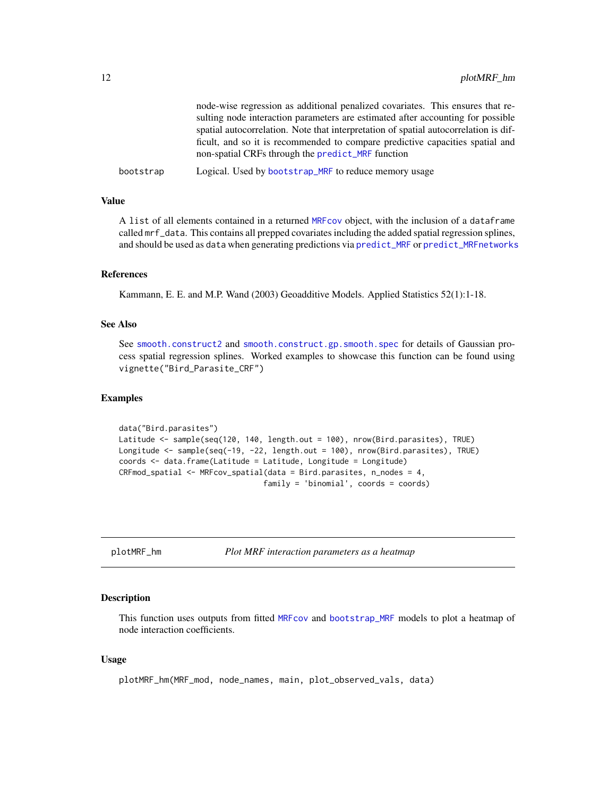<span id="page-11-0"></span>

|           | node-wise regression as additional penalized covariates. This ensures that re-       |
|-----------|--------------------------------------------------------------------------------------|
|           | sulting node interaction parameters are estimated after accounting for possible      |
|           | spatial autocorrelation. Note that interpretation of spatial autocorrelation is dif- |
|           | ficult, and so it is recommended to compare predictive capacities spatial and        |
|           | non-spatial CRFs through the predict_MRF function                                    |
| bootstrap | Logical. Used by bootstrap_MRF to reduce memory usage                                |

#### Value

A list of all elements contained in a returned [MRFcov](#page-7-1) object, with the inclusion of a dataframe called mrf\_data. This contains all prepped covariates including the added spatial regression splines, and should be used as data when generating predictions via [predict\\_MRF](#page-13-1) or [predict\\_MRFnetworks](#page-14-1)

#### References

Kammann, E. E. and M.P. Wand (2003) Geoadditive Models. Applied Statistics 52(1):1-18.

#### See Also

See [smooth.construct2](#page-0-0) and [smooth.construct.gp.smooth.spec](#page-0-0) for details of Gaussian process spatial regression splines. Worked examples to showcase this function can be found using vignette("Bird\_Parasite\_CRF")

#### Examples

```
data("Bird.parasites")
Latitude <- sample(seq(120, 140, length.out = 100), nrow(Bird.parasites), TRUE)
Longitude <- sample(seq(-19, -22, length.out = 100), nrow(Bird.parasites), TRUE)
coords <- data.frame(Latitude = Latitude, Longitude = Longitude)
CRFmod_spatial <- MRFcov_spatial(data = Bird.parasites, n_nodes = 4,
                                family = 'binomial', coords = coords)
```
plotMRF\_hm *Plot MRF interaction parameters as a heatmap*

#### Description

This function uses outputs from fitted [MRFcov](#page-7-1) and [bootstrap\\_MRF](#page-2-1) models to plot a heatmap of node interaction coefficients.

#### Usage

plotMRF\_hm(MRF\_mod, node\_names, main, plot\_observed\_vals, data)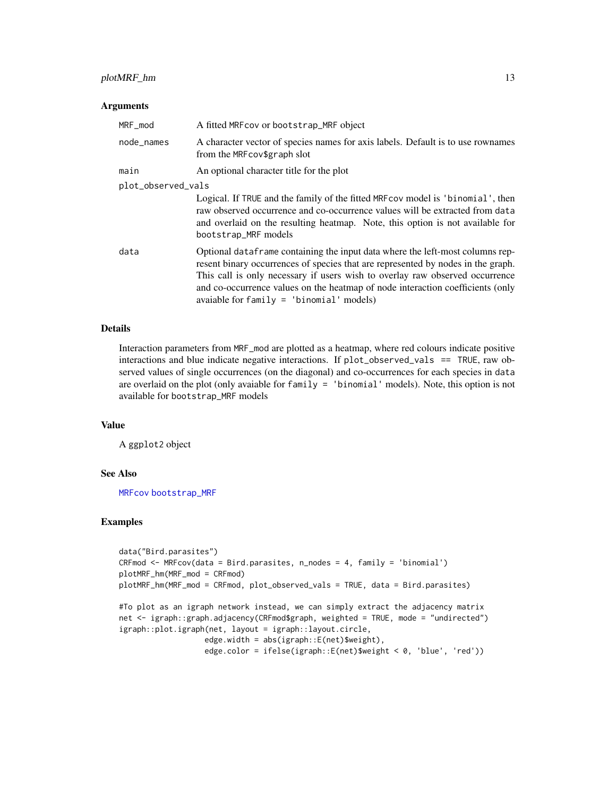#### <span id="page-12-0"></span>plotMRF\_hm 13

#### **Arguments**

| MRF_mod            | A fitted MRF cov or bootstrap_MRF object                                                                                                                                                                                                                                                                                                                                          |  |
|--------------------|-----------------------------------------------------------------------------------------------------------------------------------------------------------------------------------------------------------------------------------------------------------------------------------------------------------------------------------------------------------------------------------|--|
| node_names         | A character vector of species names for axis labels. Default is to use rownames<br>from the MRFcov\$graph slot                                                                                                                                                                                                                                                                    |  |
| main               | An optional character title for the plot                                                                                                                                                                                                                                                                                                                                          |  |
| plot_observed_vals |                                                                                                                                                                                                                                                                                                                                                                                   |  |
|                    | Logical. If TRUE and the family of the fitted MRF cov model is 'binomial', then<br>raw observed occurrence and co-occurrence values will be extracted from data<br>and overlaid on the resulting heatmap. Note, this option is not available for<br>bootstrap_MRF models                                                                                                          |  |
| data               | Optional dataframe containing the input data where the left-most columns rep-<br>resent binary occurrences of species that are represented by nodes in the graph.<br>This call is only necessary if users wish to overlay raw observed occurrence<br>and co-occurrence values on the heatmap of node interaction coefficients (only<br>avaiable for $family = 'binomial'$ models) |  |

#### Details

Interaction parameters from MRF\_mod are plotted as a heatmap, where red colours indicate positive interactions and blue indicate negative interactions. If plot\_observed\_vals == TRUE, raw observed values of single occurrences (on the diagonal) and co-occurrences for each species in data are overlaid on the plot (only avaiable for family = 'binomial' models). Note, this option is not available for bootstrap\_MRF models

#### Value

A ggplot2 object

#### See Also

[MRFcov](#page-7-1) [bootstrap\\_MRF](#page-2-1)

```
data("Bird.parasites")
CRFmod <- MRFcov(data = Bird.parasites, n_nodes = 4, family = 'binomial')
plotMRF_hm(MRF_mod = CRFmod)
plotMRF_hm(MRF_mod = CRFmod, plot_observed_vals = TRUE, data = Bird.parasites)
#To plot as an igraph network instead, we can simply extract the adjacency matrix
```

```
net <- igraph::graph.adjacency(CRFmod$graph, weighted = TRUE, mode = "undirected")
igraph::plot.igraph(net, layout = igraph::layout.circle,
                  edge.width = abs(igraph::E(net)$weight),
                  edge.color = ifelse(igraph::E(net)$weight < 0, 'blue', 'red'))
```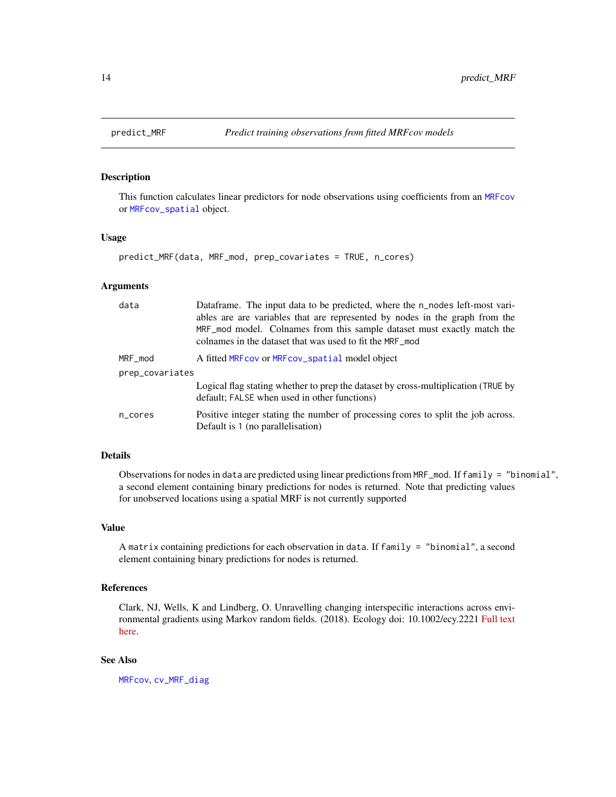#### Description

This function calculates linear predictors for node observations using coefficients from an [MRFcov](#page-7-1) or [MRFcov\\_spatial](#page-9-1) object.

#### Usage

```
predict_MRF(data, MRF_mod, prep_covariates = TRUE, n_cores)
```
#### Arguments

| data            | Dataframe. The input data to be predicted, where the n_nodes left-most vari-<br>ables are are variables that are represented by nodes in the graph from the<br>MRF mod model. Colnames from this sample dataset must exactly match the<br>colnames in the dataset that was used to fit the MRF mod |  |
|-----------------|----------------------------------------------------------------------------------------------------------------------------------------------------------------------------------------------------------------------------------------------------------------------------------------------------|--|
| MRF_mod         | A fitted MRF cov or MRF cov_spatial model object                                                                                                                                                                                                                                                   |  |
| prep_covariates |                                                                                                                                                                                                                                                                                                    |  |
|                 | Logical flag stating whether to prep the dataset by cross-multiplication (TRUE by<br>default; FALSE when used in other functions)                                                                                                                                                                  |  |
| n_cores         | Positive integer stating the number of processing cores to split the job across.<br>Default is 1 (no parallelisation)                                                                                                                                                                              |  |

#### Details

Observations for nodes in data are predicted using linear predictions from MRF\_mod. If family = "binomial", a second element containing binary predictions for nodes is returned. Note that predicting values for unobserved locations using a spatial MRF is not currently supported

#### Value

A matrix containing predictions for each observation in data. If family = "binomial", a second element containing binary predictions for nodes is returned.

### References

Clark, NJ, Wells, K and Lindberg, O. Unravelling changing interspecific interactions across environmental gradients using Markov random fields. (2018). Ecology doi: 10.1002/ecy.2221 [Full text](http://nicholasjclark.weebly.com/uploads/4/4/9/4/44946407/clark_et_al-2018-ecology.pdf) [here.](http://nicholasjclark.weebly.com/uploads/4/4/9/4/44946407/clark_et_al-2018-ecology.pdf)

### See Also

[MRFcov](#page-7-1), [cv\\_MRF\\_diag](#page-4-2)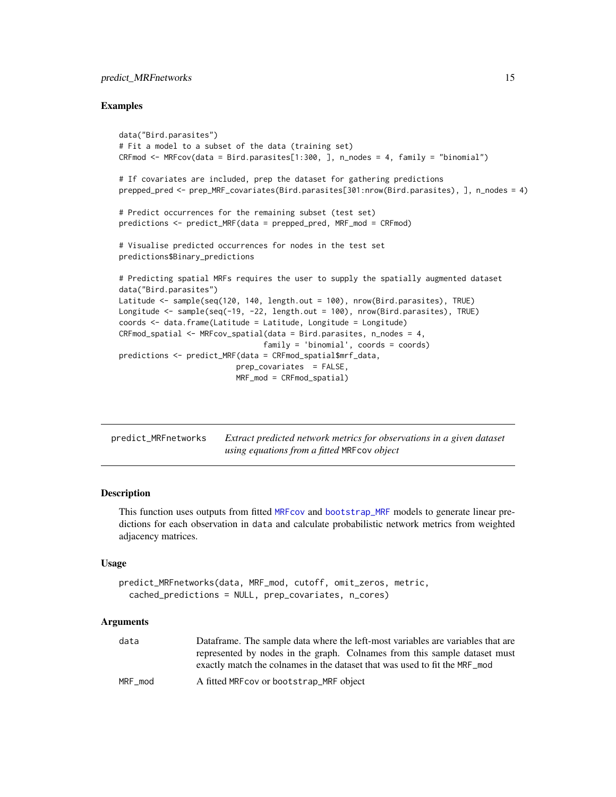#### <span id="page-14-0"></span>predict\_MRFnetworks 15

#### Examples

```
data("Bird.parasites")
# Fit a model to a subset of the data (training set)
CRFmod <- MRFcov(data = Bird.parasites[1:300, ], n_nodes = 4, family = "binomial")
# If covariates are included, prep the dataset for gathering predictions
prepped_pred <- prep_MRF_covariates(Bird.parasites[301:nrow(Bird.parasites), ], n_nodes = 4)
# Predict occurrences for the remaining subset (test set)
predictions <- predict_MRF(data = prepped_pred, MRF_mod = CRFmod)
# Visualise predicted occurrences for nodes in the test set
predictions$Binary_predictions
# Predicting spatial MRFs requires the user to supply the spatially augmented dataset
data("Bird.parasites")
Latitude <- sample(seq(120, 140, length.out = 100), nrow(Bird.parasites), TRUE)
Longitude <- sample(seq(-19, -22, length.out = 100), nrow(Bird.parasites), TRUE)
coords <- data.frame(Latitude = Latitude, Longitude = Longitude)
CRFmod_spatial <- MRFcov_spatial(data = Bird.parasites, n_nodes = 4,
                                family = 'binomial', coords = coords)
predictions <- predict_MRF(data = CRFmod_spatial$mrf_data,
                          prep_covariates = FALSE,
                          MRF_mod = CRFmod_spatial)
```
<span id="page-14-1"></span>

| predict_MRFnetworks | Extract predicted network metrics for observations in a given dataset |
|---------------------|-----------------------------------------------------------------------|
|                     | using equations from a fitted MRF cov object                          |

#### Description

This function uses outputs from fitted [MRFcov](#page-7-1) and [bootstrap\\_MRF](#page-2-1) models to generate linear predictions for each observation in data and calculate probabilistic network metrics from weighted adjacency matrices.

#### Usage

```
predict_MRFnetworks(data, MRF_mod, cutoff, omit_zeros, metric,
  cached_predictions = NULL, prep_covariates, n_cores)
```

| data    | Dataframe. The sample data where the left-most variables are variables that are |
|---------|---------------------------------------------------------------------------------|
|         | represented by nodes in the graph. Colnames from this sample dataset must       |
|         | exactly match the colnames in the dataset that was used to fit the MRF_mod      |
| MRF mod | A fitted MRF cov or bootstrap_MRF object                                        |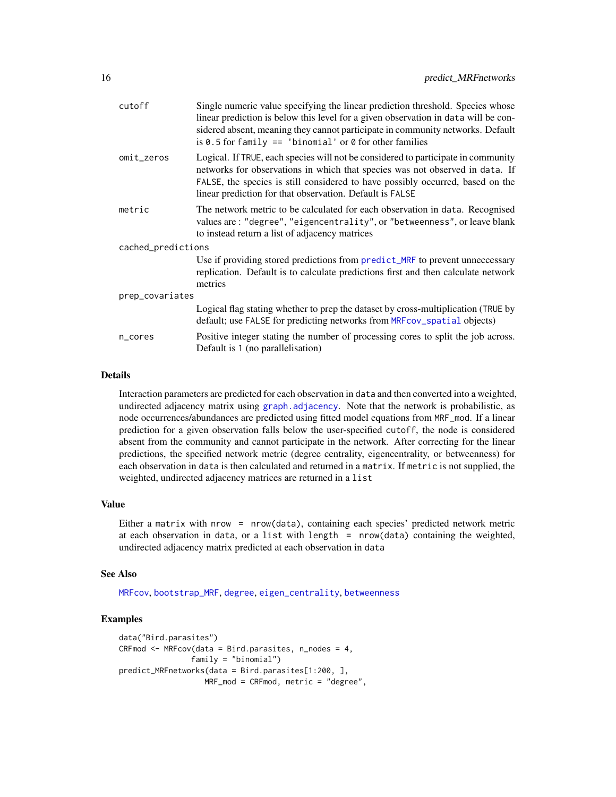<span id="page-15-0"></span>

| cutoff             | Single numeric value specifying the linear prediction threshold. Species whose<br>linear prediction is below this level for a given observation in data will be con-<br>sidered absent, meaning they cannot participate in community networks. Default<br>is 0.5 for family $==$ 'binomial' or 0 for other families |
|--------------------|---------------------------------------------------------------------------------------------------------------------------------------------------------------------------------------------------------------------------------------------------------------------------------------------------------------------|
| omit_zeros         | Logical. If TRUE, each species will not be considered to participate in community<br>networks for observations in which that species was not observed in data. If<br>FALSE, the species is still considered to have possibly occurred, based on the<br>linear prediction for that observation. Default is FALSE     |
| metric             | The network metric to be calculated for each observation in data. Recognised<br>values are: "degree", "eigencentrality", or "betweenness", or leave blank<br>to instead return a list of adjacency matrices                                                                                                         |
| cached_predictions |                                                                                                                                                                                                                                                                                                                     |
|                    | Use if providing stored predictions from predict_MRF to prevent unneccessary<br>replication. Default is to calculate predictions first and then calculate network<br>metrics                                                                                                                                        |
| prep_covariates    |                                                                                                                                                                                                                                                                                                                     |
|                    | Logical flag stating whether to prep the dataset by cross-multiplication (TRUE by<br>default; use FALSE for predicting networks from MRFcov_spatial objects)                                                                                                                                                        |
| n_cores            | Positive integer stating the number of processing cores to split the job across.<br>Default is 1 (no parallelisation)                                                                                                                                                                                               |

#### Details

Interaction parameters are predicted for each observation in data and then converted into a weighted, undirected adjacency matrix using [graph.adjacency](#page-0-0). Note that the network is probabilistic, as node occurrences/abundances are predicted using fitted model equations from MRF\_mod. If a linear prediction for a given observation falls below the user-specified cutoff, the node is considered absent from the community and cannot participate in the network. After correcting for the linear predictions, the specified network metric (degree centrality, eigencentrality, or betweenness) for each observation in data is then calculated and returned in a matrix. If metric is not supplied, the weighted, undirected adjacency matrices are returned in a list

#### Value

Either a matrix with nrow = nrow(data), containing each species' predicted network metric at each observation in data, or a list with length = nrow(data) containing the weighted, undirected adjacency matrix predicted at each observation in data

#### See Also

[MRFcov](#page-7-1), [bootstrap\\_MRF](#page-2-1), [degree](#page-0-0), [eigen\\_centrality](#page-0-0), [betweenness](#page-0-0)

```
data("Bird.parasites")
CRFmod \leq MRFcov(data = Bird.parasites, n nodes = 4,family = "binomial")
predict_MRFnetworks(data = Bird.parasites[1:200, ],
                  MRF_mod = CRFmod, metric = "degree",
```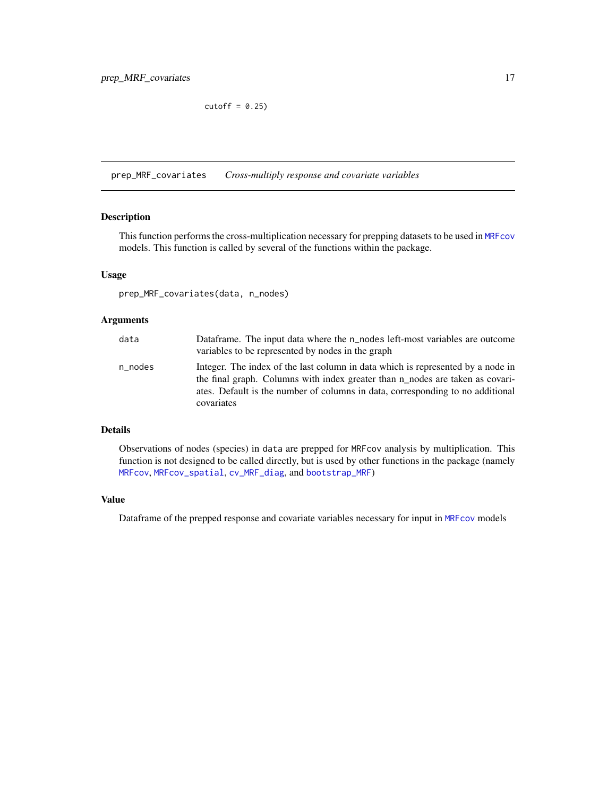$cutoff = 0.25$ 

<span id="page-16-1"></span><span id="page-16-0"></span>prep\_MRF\_covariates *Cross-multiply response and covariate variables*

#### Description

This function performs the cross-multiplication necessary for prepping datasets to be used in [MRFcov](#page-7-1) models. This function is called by several of the functions within the package.

#### Usage

```
prep_MRF_covariates(data, n_nodes)
```
#### Arguments

| data    | Dataframe. The input data where the n_nodes left-most variables are outcome<br>variables to be represented by nodes in the graph                                                                                                                                 |
|---------|------------------------------------------------------------------------------------------------------------------------------------------------------------------------------------------------------------------------------------------------------------------|
| n_nodes | Integer. The index of the last column in data which is represented by a node in<br>the final graph. Columns with index greater than n_nodes are taken as covari-<br>ates. Default is the number of columns in data, corresponding to no additional<br>covariates |

#### Details

Observations of nodes (species) in data are prepped for MRFcov analysis by multiplication. This function is not designed to be called directly, but is used by other functions in the package (namely [MRFcov](#page-7-1), [MRFcov\\_spatial](#page-9-1), [cv\\_MRF\\_diag](#page-4-2), and [bootstrap\\_MRF](#page-2-1))

#### Value

Dataframe of the prepped response and covariate variables necessary for input in [MRFcov](#page-7-1) models